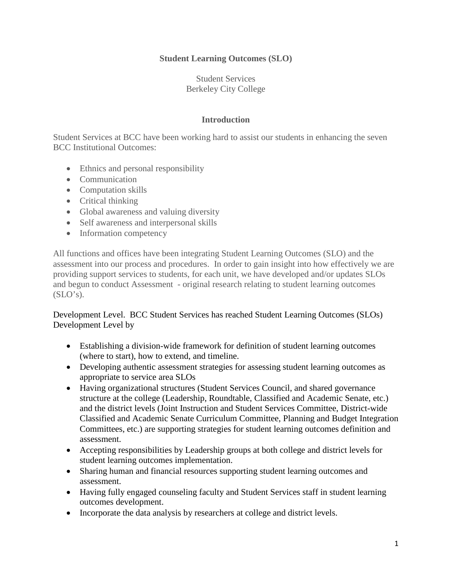## **Student Learning Outcomes (SLO)**

Student Services Berkeley City College

## **Introduction**

Student Services at BCC have been working hard to assist our students in enhancing the seven BCC Institutional Outcomes:

- Ethnics and personal responsibility
- Communication
- Computation skills
- Critical thinking
- Global awareness and valuing diversity
- Self awareness and interpersonal skills
- Information competency

All functions and offices have been integrating Student Learning Outcomes (SLO) and the assessment into our process and procedures. In order to gain insight into how effectively we are providing support services to students, for each unit, we have developed and/or updates SLOs and begun to conduct Assessment - original research relating to student learning outcomes  $(SLO's)$ .

Development Level. BCC Student Services has reached Student Learning Outcomes (SLOs) Development Level by

- Establishing a division-wide framework for definition of student learning outcomes (where to start), how to extend, and timeline.
- Developing authentic assessment strategies for assessing student learning outcomes as appropriate to service area SLOs
- Having organizational structures (Student Services Council, and shared governance structure at the college (Leadership, Roundtable, Classified and Academic Senate, etc.) and the district levels (Joint Instruction and Student Services Committee, District-wide Classified and Academic Senate Curriculum Committee, Planning and Budget Integration Committees, etc.) are supporting strategies for student learning outcomes definition and assessment.
- Accepting responsibilities by Leadership groups at both college and district levels for student learning outcomes implementation.
- Sharing human and financial resources supporting student learning outcomes and assessment.
- Having fully engaged counseling faculty and Student Services staff in student learning outcomes development.
- Incorporate the data analysis by researchers at college and district levels.